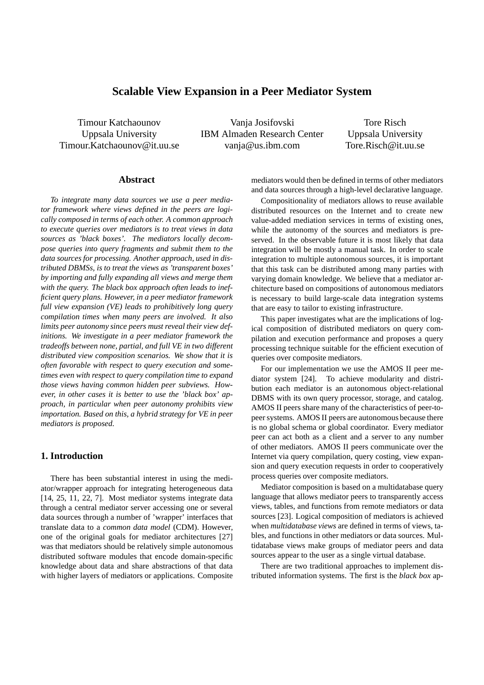# **Scalable View Expansion in a Peer Mediator System**

Timour Katchaounov Uppsala University Timour.Katchaounov@it.uu.se

Vanja Josifovski IBM Almaden Research Center vanja@us.ibm.com

Tore Risch Uppsala University Tore.Risch@it.uu.se

### **Abstract**

*To integrate many data sources we use a peer mediator framework where views defined in the peers are logically composed in terms of each other. A common approach to execute queries over mediators is to treat views in data sources as 'black boxes'. The mediators locally decompose queries into query fragments and submit them to the data sources for processing. Another approach, used in distributed DBMSs, is to treat the views as 'transparent boxes' by importing and fully expanding all views and merge them with the query. The black box approach often leads to inefficient query plans. However, in a peer mediator framework full view expansion (VE) leads to prohibitively long query compilation times when many peers are involved. It also limits peer autonomy since peers must reveal their view definitions. We investigate in a peer mediator framework the tradeoffs between none, partial, and full VE in two different distributed view composition scenarios. We show that it is often favorable with respect to query execution and sometimes even with respect to query compilation time to expand those views having common hidden peer subviews. However, in other cases it is better to use the 'black box' approach, in particular when peer autonomy prohibits view importation. Based on this, a hybrid strategy for VE in peer mediators is proposed.*

### **1. Introduction**

There has been substantial interest in using the mediator/wrapper approach for integrating heterogeneous data [14, 25, 11, 22, 7]. Most mediator systems integrate data through a central mediator server accessing one or several data sources through a number of 'wrapper' interfaces that translate data to a *common data model* (CDM). However, one of the original goals for mediator architectures [27] was that mediators should be relatively simple autonomous distributed software modules that encode domain-specific knowledge about data and share abstractions of that data with higher layers of mediators or applications. Composite mediators would then be defined in terms of other mediators and data sources through a high-level declarative language.

Compositionality of mediators allows to reuse available distributed resources on the Internet and to create new value-added mediation services in terms of existing ones, while the autonomy of the sources and mediators is preserved. In the observable future it is most likely that data integration will be mostly a manual task. In order to scale integration to multiple autonomous sources, it is important that this task can be distributed among many parties with varying domain knowledge. We believe that a mediator architecture based on compositions of autonomous mediators is necessary to build large-scale data integration systems that are easy to tailor to existing infrastructure.

This paper investigates what are the implications of logical composition of distributed mediators on query compilation and execution performance and proposes a query processing technique suitable for the efficient execution of queries over composite mediators.

For our implementation we use the AMOS II peer mediator system [24]. To achieve modularity and distribution each mediator is an autonomous object-relational DBMS with its own query processor, storage, and catalog. AMOS II peers share many of the characteristics of peer-topeer systems. AMOS II peers are autonomous because there is no global schema or global coordinator. Every mediator peer can act both as a client and a server to any number of other mediators. AMOS II peers communicate over the Internet via query compilation, query costing, view expansion and query execution requests in order to cooperatively process queries over composite mediators.

Mediator composition is based on a multidatabase query language that allows mediator peers to transparently access views, tables, and functions from remote mediators or data sources [23]. Logical composition of mediators is achieved when *multidatabase views* are defined in terms of views, tables, and functions in other mediators or data sources. Multidatabase views make groups of mediator peers and data sources appear to the user as a single virtual database.

There are two traditional approaches to implement distributed information systems. The first is the *black box* ap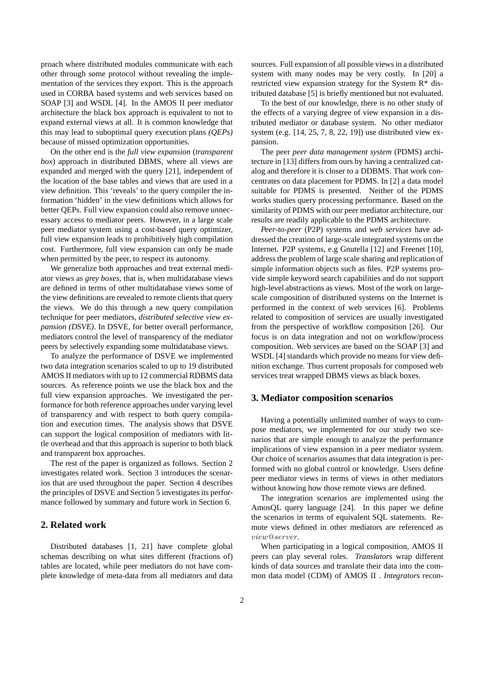proach where distributed modules communicate with each other through some protocol without revealing the implementation of the services they export. This is the approach used in CORBA based systems and web services based on SOAP [3] and WSDL [4]. In the AMOS II peer mediator architecture the black box approach is equivalent to not to expand external views at all. It is common knowledge that this may lead to suboptimal query execution plans *(QEPs)* because of missed optimization opportunities.

On the other end is the *full view expansion* (*transparent box*) approach in distributed DBMS, where all views are expanded and merged with the query [21], independent of the location of the base tables and views that are used in a view definition. This 'reveals' to the query compiler the information 'hidden' in the view definitions which allows for better QEPs. Full view expansion could also remove unnecessary access to mediator peers. However, in a large scale peer mediator system using a cost-based query optimizer, full view expansion leads to prohibitively high compilation cost. Furthermore, full view expansion can only be made when permitted by the peer, to respect its autonomy.

We generalize both approaches and treat external mediator views as *grey boxes*, that is, when multidatabase views are defined in terms of other multidatabase views some of the view definitions are revealed to remote clients that query the views. We do this through a new query compilation technique for peer mediators, *distributed selective view expansion (DSVE)*. In DSVE, for better overall performance, mediators control the level of transparency of the mediator peers by selectively expanding some multidatabase views.

To analyze the performance of DSVE we implemented two data integration scenarios scaled to up to 19 distributed AMOS II mediators with up to 12 commercial RDBMS data sources. As reference points we use the black box and the full view expansion approaches. We investigated the performance for both reference approaches under varying level of transparency and with respect to both query compilation and execution times. The analysis shows that DSVE can support the logical composition of mediators with little overhead and that this approach is superior to both black and transparent box approaches.

The rest of the paper is organized as follows. Section 2 investigates related work. Section 3 introduces the scenarios that are used throughout the paper. Section 4 describes the principles of DSVE and Section 5 investigates its performance followed by summary and future work in Section 6.

## **2. Related work**

Distributed databases [1, 21] have complete global schemas describing on what sites different (fractions of) tables are located, while peer mediators do not have complete knowledge of meta-data from all mediators and data sources. Full expansion of all possible views in a distributed system with many nodes may be very costly. In [20] a restricted view expansion strategy for the System R\* distributed database [5] is briefly mentioned but not evaluated.

To the best of our knowledge, there is no other study of the effects of a varying degree of view expansion in a distributed mediator or database system. No other mediator system (e.g. [14, 25, 7, 8, 22, 19]) use distributed view expansion.

The peer *peer data management system* (PDMS) architecture in [13] differs from ours by having a centralized catalog and therefore it is closer to a DDBMS. That work concentrates on data placement for PDMS. In [2] a data model suitable for PDMS is presented. Neither of the PDMS works studies query processing performance. Based on the similarity of PDMS with our peer mediator architecture, our results are readily applicable to the PDMS architecture.

*Peer-to-peer* (P2P) systems and *web services* have addressed the creation of large-scale integrated systems on the Internet. P2P systems, e.g Gnutella [12] and Freenet [10], address the problem of large scale sharing and replication of simple information objects such as files. P2P systems provide simple keyword search capabilities and do not support high-level abstractions as views. Most of the work on largescale composition of distributed systems on the Internet is performed in the context of web services [6]. Problems related to composition of services are usually investigated from the perspective of workflow composition [26]. Our focus is on data integration and not on workflow/process composition. Web services are based on the SOAP [3] and WSDL [4] standards which provide no means for view definition exchange. Thus current proposals for composed web services treat wrapped DBMS views as black boxes.

#### **3. Mediator composition scenarios**

Having a potentially unlimited number of ways to compose mediators, we implemented for our study two scenarios that are simple enough to analyze the performance implications of view expansion in a peer mediator system. Our choice of scenarios assumes that data integration is performed with no global control or knowledge. Users define peer mediator views in terms of views in other mediators without knowing how those remote views are defined.

The integration scenarios are implemented using the AmosQL query language [24]. In this paper we define the scenarios in terms of equivalent SQL statements. Remote views defined in other mediators are referenced as view@server.

When participating in a logical composition, AMOS II peers can play several roles. *Translators* wrap different kinds of data sources and translate their data into the common data model (CDM) of AMOS II . *Integrators* recon-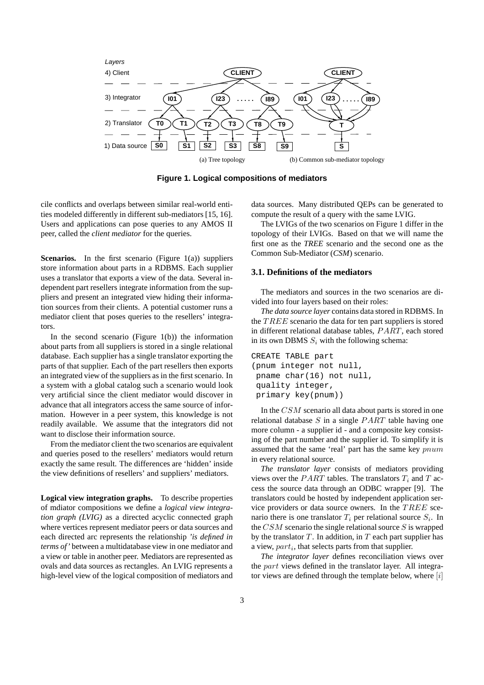

**Figure 1. Logical compositions of mediators**

cile conflicts and overlaps between similar real-world entities modeled differently in different sub-mediators [15, 16]. Users and applications can pose queries to any AMOS II peer, called the *client mediator* for the queries.

**Scenarios.** In the first scenario (Figure 1(a)) suppliers store information about parts in a RDBMS. Each supplier uses a translator that exports a view of the data. Several independent part resellers integrate information from the suppliers and present an integrated view hiding their information sources from their clients. A potential customer runs a mediator client that poses queries to the resellers' integrators.

In the second scenario (Figure  $1(b)$ ) the information about parts from all suppliers is stored in a single relational database. Each supplier has a single translator exporting the parts of that supplier. Each of the part resellers then exports an integrated view of the suppliers as in the first scenario. In a system with a global catalog such a scenario would look very artificial since the client mediator would discover in advance that all integrators access the same source of information. However in a peer system, this knowledge is not readily available. We assume that the integrators did not want to disclose their information source.

From the mediator client the two scenarios are equivalent and queries posed to the resellers' mediators would return exactly the same result. The differences are 'hidden' inside the view definitions of resellers' and suppliers' mediators.

**Logical view integration graphs.** To describe properties of mdiator compositions we define a *logical view integration graph (LVIG)* as a directed acyclic connected graph where vertices represent mediator peers or data sources and each directed arc represents the relationship *'is defined in terms of'* between a multidatabase view in one mediator and a view or table in another peer. Mediators are represented as ovals and data sources as rectangles. An LVIG represents a high-level view of the logical composition of mediators and data sources. Many distributed QEPs can be generated to compute the result of a query with the same LVIG.

The LVIGs of the two scenarios on Figure 1 differ in the topology of their LVIGs. Based on that we will name the first one as the *TREE* scenario and the second one as the Common Sub-Mediator (*CSM*) scenario.

### **3.1. Definitions of the mediators**

The mediators and sources in the two scenarios are divided into four layers based on their roles:

*The data source layer* contains data stored in RDBMS. In the TREE scenario the data for ten part suppliers is stored in different relational database tables, PART, each stored in its own DBMS  $S_i$  with the following schema:

```
CREATE TABLE part
(pnum integer not null,
pname char(16) not null,
 quality integer,
 primary key(pnum))
```
In the CSM scenario all data about parts is stored in one relational database  $S$  in a single  $PART$  table having one more column - a supplier id - and a composite key consisting of the part number and the supplier id. To simplify it is assumed that the same 'real' part has the same key pnum in every relational source.

*The translator layer* consists of mediators providing views over the *PART* tables. The translators  $T_i$  and T access the source data through an ODBC wrapper [9]. The translators could be hosted by independent application service providers or data source owners. In the TREE scenario there is one translator  $T_i$  per relational source  $S_i$ . In the  $CSM$  scenario the single relational source S is wrapped by the translator  $T$ . In addition, in  $T$  each part supplier has a view,  $part_i$ , that selects parts from that supplier.

*The integrator layer* defines reconciliation views over the *part* views defined in the translator layer. All integrator views are defined through the template below, where [i]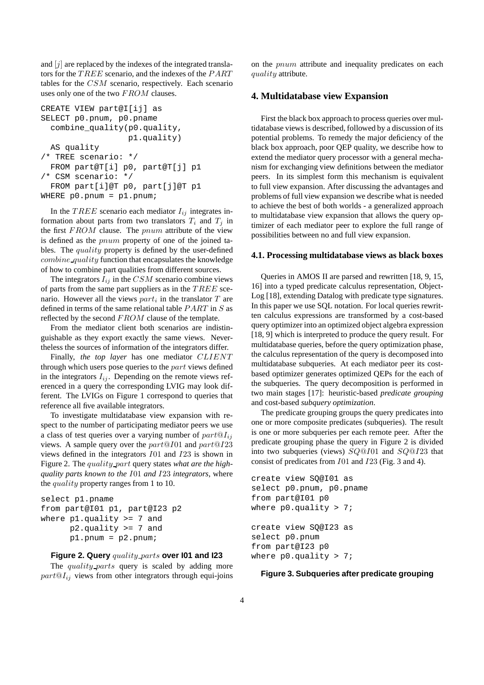and  $[i]$  are replaced by the indexes of the integrated translators for the TREE scenario, and the indexes of the PART tables for the CSM scenario, respectively. Each scenario uses only one of the two FROM clauses.

```
CREATE VIEW part@I[ij] as
SELECT p0.pnum, p0.pname
  combine_quality(p0.quality,
                  p1.quality)
  AS quality
/* TREE scenario: */
  FROM part@T[i] p0, part@T[j] p1
/* CSM scenario: */
  FROM part[i]@T p0, part[j]@T p1
WHERE p0.pnum = p1.pnum;
```
In the TREE scenario each mediator  $I_{ij}$  integrates information about parts from two translators  $T_i$  and  $T_j$  in the first FROM clause. The pnum attribute of the view is defined as the pnum property of one of the joined tables. The *quality* property is defined by the user-defined combine quality function that encapsulates the knowledge of how to combine part qualities from different sources.

The integrators  $I_{ij}$  in the CSM scenario combine views of parts from the same part suppliers as in the  $TREE$  scenario. However all the views  $part_i$  in the translator T are defined in terms of the same relational table PART in S as reflected by the second FROM clause of the template.

From the mediator client both scenarios are indistinguishable as they export exactly the same views. Nevertheless the sources of information of the integrators differ.

Finally, *the top layer* has one mediator CLIENT through which users pose queries to the part views defined in the integrators  $I_{ij}$ . Depending on the remote views referenced in a query the corresponding LVIG may look different. The LVIGs on Figure 1 correspond to queries that reference all five available integrators.

To investigate multidatabase view expansion with respect to the number of participating mediator peers we use a class of test queries over a varying number of  $part@I_{ij}$ views. A sample query over the part@I01 and part@I23 views defined in the integrators I01 and I23 is shown in Figure 2. The quality part query states *what are the highquality parts known to the* I01 *and* I23 *integrators*, where the quality property ranges from 1 to 10.

```
select p1.pname
from part@I01 p1, part@I23 p2
where p1.quality >= 7 and
      p2.quality >= 7 and
      p1.pnum = p2.pnum;
```
#### **Figure 2. Query** quality parts **over I01 and I23**

The *quality parts* query is scaled by adding more  $part@I_{ij}$  views from other integrators through equi-joins on the pnum attribute and inequality predicates on each quality attribute.

### **4. Multidatabase view Expansion**

First the black box approach to process queries over multidatabase viewsis described, followed by a discussion of its potential problems. To remedy the major deficiency of the black box approach, poor QEP quality, we describe how to extend the mediator query processor with a general mechanism for exchanging view definitions between the mediator peers. In its simplest form this mechanism is equivalent to full view expansion. After discussing the advantages and problems of full view expansion we describe what is needed to achieve the best of both worlds - a generalized approach to multidatabase view expansion that allows the query optimizer of each mediator peer to explore the full range of possibilities between no and full view expansion.

#### **4.1. Processing multidatabase views as black boxes**

Queries in AMOS II are parsed and rewritten [18, 9, 15, 16] into a typed predicate calculus representation, Object-Log [18], extending Datalog with predicate type signatures. In this paper we use SQL notation. For local queries rewritten calculus expressions are transformed by a cost-based query optimizer into an optimized object algebra expression [18, 9] which is interpreted to produce the query result. For multidatabase queries, before the query optimization phase, the calculus representation of the query is decomposed into multidatabase subqueries. At each mediator peer its costbased optimizer generates optimized QEPs for the each of the subqueries. The query decomposition is performed in two main stages [17]: heuristic-based *predicate grouping* and cost-based *subquery optimization*.

The predicate grouping groups the query predicates into one or more composite predicates (subqueries). The result is one or more subqueries per each remote peer. After the predicate grouping phase the query in Figure 2 is divided into two subqueries (views) SQ@I01 and SQ@I23 that consist of predicates from I01 and I23 (Fig. 3 and 4).

```
create view SQ@I01 as
select p0.pnum, p0.pname
from part@I01 p0
where p0.quality > 7;
create view SQ@I23 as
select p0.pnum
from part@I23 p0
where p0.quality > 7;
```
## **Figure 3. Subqueries after predicate grouping**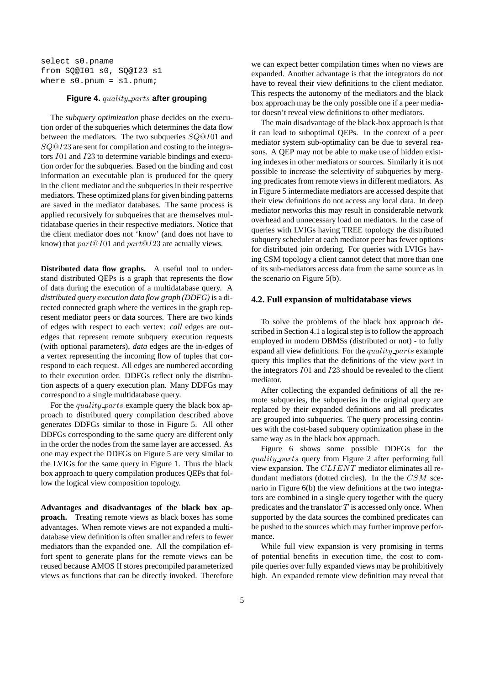select s0.pname from SQ@I01 s0, SQ@I23 s1 where  $s0.$ pnum =  $s1.$ pnum;

#### **Figure 4.** quality parts **after grouping**

The *subquery optimization* phase decides on the execution order of the subqueries which determines the data flow between the mediators. The two subqueries SQ@I01 and  $SQ@I23$  are sent for compilation and costing to the integrators I01 and I23 to determine variable bindings and execution order for the subqueries. Based on the binding and cost information an executable plan is produced for the query in the client mediator and the subqueries in their respective mediators. These optimized plans for given binding patterns are saved in the mediator databases. The same process is applied recursively for subqueires that are themselves multidatabase queries in their respective mediators. Notice that the client mediator does not 'know' (and does not have to know) that part@I01 and part@I23 are actually views.

**Distributed data flow graphs.** A useful tool to understand distributed QEPs is a graph that represents the flow of data during the execution of a multidatabase query. A *distributed query execution data flow graph (DDFG)* is a directed connected graph where the vertices in the graph represent mediator peers or data sources. There are two kinds of edges with respect to each vertex: *call* edges are outedges that represent remote subquery execution requests (with optional parameters), *data* edges are the in-edges of a vertex representing the incoming flow of tuples that correspond to each request. All edges are numbered according to their execution order. DDFGs reflect only the distribution aspects of a query execution plan. Many DDFGs may correspond to a single multidatabase query.

For the *quality parts* example query the black box approach to distributed query compilation described above generates DDFGs similar to those in Figure 5. All other DDFGs corresponding to the same query are different only in the order the nodes from the same layer are accessed. As one may expect the DDFGs on Figure 5 are very similar to the LVIGs for the same query in Figure 1. Thus the black box approach to query compilation produces QEPs that follow the logical view composition topology.

**Advantages and disadvantages of the black box approach.** Treating remote views as black boxes has some advantages. When remote views are not expanded a multidatabase view definition is often smaller and refers to fewer mediators than the expanded one. All the compilation effort spent to generate plans for the remote views can be reused because AMOS II stores precompiled parameterized views as functions that can be directly invoked. Therefore we can expect better compilation times when no views are expanded. Another advantage is that the integrators do not have to reveal their view definitions to the client mediator. This respects the autonomy of the mediators and the black box approach may be the only possible one if a peer mediator doesn't reveal view definitions to other mediators.

The main disadvantage of the black-box approach is that it can lead to suboptimal QEPs. In the context of a peer mediator system sub-optimality can be due to several reasons. A QEP may not be able to make use of hidden existing indexes in other mediators or sources. Similarly it is not possible to increase the selectivity of subqueries by merging predicates from remote views in different mediators. As in Figure 5 intermediate mediators are accessed despite that their view definitions do not access any local data. In deep mediator networks this may result in considerable network overhead and unnecessary load on mediators. In the case of queries with LVIGs having TREE topology the distributed subquery scheduler at each mediator peer has fewer options for distributed join ordering. For queries with LVIGs having CSM topology a client cannot detect that more than one of its sub-mediators access data from the same source as in the scenario on Figure 5(b).

#### **4.2. Full expansion of multidatabase views**

To solve the problems of the black box approach described in Section 4.1 a logical step is to follow the approach employed in modern DBMSs (distributed or not) - to fully expand all view definitions. For the *quality parts* example query this implies that the definitions of the view part in the integrators I01 and I23 should be revealed to the client mediator.

After collecting the expanded definitions of all the remote subqueries, the subqueries in the original query are replaced by their expanded definitions and all predicates are grouped into subqueries. The query processing continues with the cost-based subquery optimization phase in the same way as in the black box approach.

Figure 6 shows some possible DDFGs for the quality parts query from Figure 2 after performing full view expansion. The  $CLIENT$  mediator eliminates all redundant mediators (dotted circles). In the the  $CSM$  scenario in Figure 6(b) the view definitions at the two integrators are combined in a single query together with the query predicates and the translator  $T$  is accessed only once. When supported by the data sources the combined predicates can be pushed to the sources which may further improve performance.

While full view expansion is very promising in terms of potential benefits in execution time, the cost to compile queries over fully expanded views may be prohibitively high. An expanded remote view definition may reveal that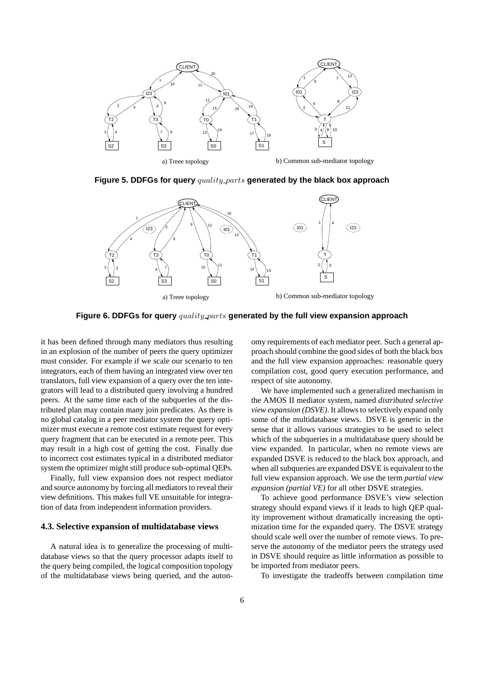

**Figure 5. DDFGs for query** quality parts **generated by the black box approach**



**Figure 6. DDFGs for query** quality parts **generated by the full view expansion approach**

it has been defined through many mediators thus resulting in an explosion of the number of peers the query optimizer must consider. For example if we scale our scenario to ten integrators, each of them having an integrated view over ten translators, full view expansion of a query over the ten integrators will lead to a distributed query involving a hundred peers. At the same time each of the subqueries of the distributed plan may contain many join predicates. As there is no global catalog in a peer mediator system the query optimizer must execute a remote cost estimate request for every query fragment that can be executed in a remote peer. This may result in a high cost of getting the cost. Finally due to incorrect cost estimates typical in a distributed mediator system the optimizer might still produce sub-optimal QEPs.

Finally, full view expansion does not respect mediator and source autonomy by forcing all mediators to reveal their view definitions. This makes full VE unsuitable for integration of data from independent information providers.

### **4.3. Selective expansion of multidatabase views**

A natural idea is to generalize the processing of multidatabase views so that the query processor adapts itself to the query being compiled, the logical composition topology of the multidatabase views being queried, and the autonomy requirements of each mediator peer. Such a general approach should combine the good sides of both the black box and the full view expansion approaches: reasonable query compilation cost, good query execution performance, and respect of site autonomy.

We have implemented such a generalized mechanism in the AMOS II mediator system, named *distributed selective view expansion (DSVE)*. It allows to selectively expand only some of the multidatabase views. DSVE is generic in the sense that it allows various strategies to be used to select which of the subqueries in a multidatabase query should be view expanded. In particular, when no remote views are expanded DSVE is reduced to the black box approach, and when all subqueries are expanded DSVE is equivalent to the full view expansion approach. We use the term *partial view expansion (partial VE)* for all other DSVE strategies.

To achieve good performance DSVE's view selection strategy should expand views if it leads to high QEP quality improvement without dramatically increasing the optimization time for the expanded query. The DSVE strategy should scale well over the number of remote views. To preserve the autonomy of the mediator peers the strategy used in DSVE should require as little information as possible to be imported from mediator peers.

To investigate the tradeoffs between compilation time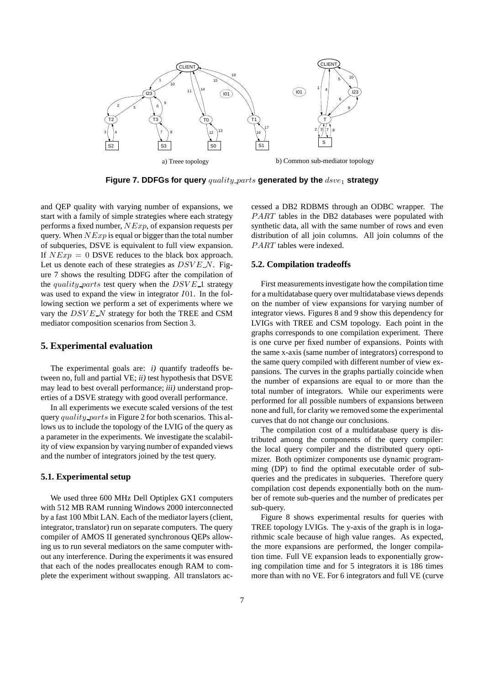

**Figure 7. DDFGs for query** quality parts **generated** by the  $dove<sub>1</sub>$  strategy

and QEP quality with varying number of expansions, we start with a family of simple strategies where each strategy performs a fixed number, NExp, of expansion requests per query. When  $NExp$  is equal or bigger than the total number of subqueries, DSVE is equivalent to full view expansion. If  $NExp = 0$  DSVE reduces to the black box approach. Let us denote each of these strategies as  $DSVE$ . Figure 7 shows the resulting DDFG after the compilation of the quality parts test query when the  $DSVE_1$  strategy was used to expand the view in integrator I01. In the following section we perform a set of experiments where we vary the  $DSVE$ -N strategy for both the TREE and CSM mediator composition scenarios from Section 3.

## **5. Experimental evaluation**

The experimental goals are: *i)* quantify tradeoffs between no, full and partial VE; *ii)* test hypothesis that DSVE may lead to best overall performance; *iii)* understand properties of a DSVE strategy with good overall performance.

In all experiments we execute scaled versions of the test query quality parts in Figure 2 for both scenarios. This allows us to include the topology of the LVIG of the query as a parameter in the experiments. We investigate the scalability of view expansion by varying number of expanded views and the number of integrators joined by the test query.

## **5.1. Experimental setup**

We used three 600 MHz Dell Optiplex GX1 computers with 512 MB RAM running Windows 2000 interconnected by a fast 100 Mbit LAN. Each of the mediator layers (client, integrator, translator) run on separate computers. The query compiler of AMOS II generated synchronous QEPs allowing us to run several mediators on the same computer without any interference. During the experiments it was ensured that each of the nodes preallocates enough RAM to complete the experiment without swapping. All translators accessed a DB2 RDBMS through an ODBC wrapper. The PART tables in the DB2 databases were populated with synthetic data, all with the same number of rows and even distribution of all join columns. All join columns of the PART tables were indexed.

#### **5.2. Compilation tradeoffs**

First measurements investigate how the compilation time for a multidatabase query over multidatabase views depends on the number of view expansions for varying number of integrator views. Figures 8 and 9 show this dependency for LVIGs with TREE and CSM topology. Each point in the graphs corresponds to one compilation experiment. There is one curve per fixed number of expansions. Points with the same x-axis (same number of integrators) correspond to the same query compiled with different number of view expansions. The curves in the graphs partially coincide when the number of expansions are equal to or more than the total number of integrators. While our experiments were performed for all possible numbers of expansions between none and full, for clarity we removed some the experimental curves that do not change our conclusions.

The compilation cost of a multidatabase query is distributed among the components of the query compiler: the local query compiler and the distributed query optimizer. Both optimizer components use dynamic programming (DP) to find the optimal executable order of subqueries and the predicates in subqueries. Therefore query compilation cost depends exponentially both on the number of remote sub-queries and the number of predicates per sub-query.

Figure 8 shows experimental results for queries with TREE topology LVIGs. The y-axis of the graph is in logarithmic scale because of high value ranges. As expected, the more expansions are performed, the longer compilation time. Full VE expansion leads to exponentially growing compilation time and for 5 integrators it is 186 times more than with no VE. For 6 integrators and full VE (curve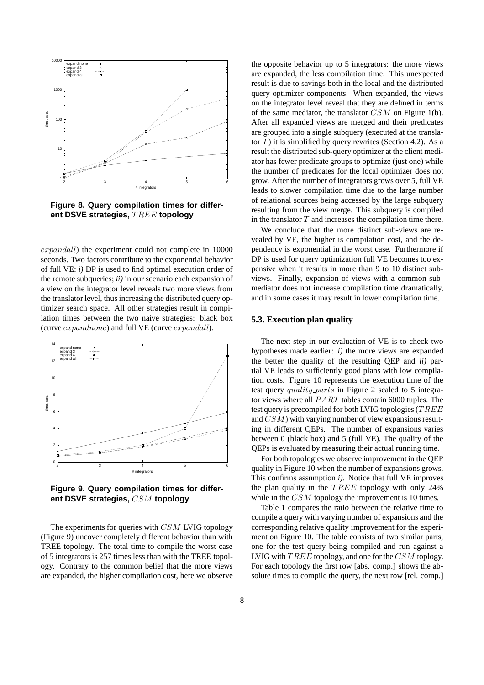

**Figure 8. Query compilation times for different DSVE strategies,** TREE **topology**

expandall) the experiment could not complete in 10000 seconds. Two factors contribute to the exponential behavior of full VE: *i)* DP is used to find optimal execution order of the remote subqueries; *ii)* in our scenario each expansion of a view on the integrator level reveals two more views from the translator level, thus increasing the distributed query optimizer search space. All other strategies result in compilation times between the two naive strategies: black box (curve expandnone) and full VE (curve expandall).



**Figure 9. Query compilation times for different DSVE strategies,** CSM **topology**

The experiments for queries with CSM LVIG topology (Figure 9) uncover completely different behavior than with TREE topology. The total time to compile the worst case of 5 integrators is 257 times less than with the TREE topology. Contrary to the common belief that the more views are expanded, the higher compilation cost, here we observe the opposite behavior up to 5 integrators: the more views are expanded, the less compilation time. This unexpected result is due to savings both in the local and the distributed query optimizer components. When expanded, the views on the integrator level reveal that they are defined in terms of the same mediator, the translator CSM on Figure 1(b). After all expanded views are merged and their predicates are grouped into a single subquery (executed at the translator  $T$ ) it is simplified by query rewrites (Section 4.2). As a result the distributed sub-query optimizer at the client mediator has fewer predicate groups to optimize (just one) while the number of predicates for the local optimizer does not grow. After the number of integrators grows over 5, full VE leads to slower compilation time due to the large number of relational sources being accessed by the large subquery resulting from the view merge. This subquery is compiled in the translator  $T$  and increases the compilation time there.

We conclude that the more distinct sub-views are revealed by VE, the higher is compilation cost, and the dependency is exponential in the worst case. Furthermore if DP is used for query optimization full VE becomes too expensive when it results in more than 9 to 10 distinct subviews. Finally, expansion of views with a common submediator does not increase compilation time dramatically, and in some cases it may result in lower compilation time.

## **5.3. Execution plan quality**

The next step in our evaluation of VE is to check two hypotheses made earlier: *i)* the more views are expanded the better the quality of the resulting QEP and *ii)* partial VE leads to sufficiently good plans with low compilation costs. Figure 10 represents the execution time of the test query quality parts in Figure 2 scaled to 5 integrator views where all PART tables contain 6000 tuples. The test query is precompiled for both LVIG topologies ( $TREE$ and CSM) with varying number of view expansions resulting in different QEPs. The number of expansions varies between 0 (black box) and 5 (full VE). The quality of the QEPs is evaluated by measuring their actual running time.

For both topologies we observe improvement in the QEP quality in Figure 10 when the number of expansions grows. This confirms assumption *i)*. Notice that full VE improves the plan quality in the TREE topology with only 24% while in the CSM topology the improvement is 10 times.

Table 1 compares the ratio between the relative time to compile a query with varying number of expansions and the corresponding relative quality improvement for the experiment on Figure 10. The table consists of two similar parts, one for the test query being compiled and run against a LVIG with  $TREE$  topology, and one for the  $CSM$  toplogy. For each topology the first row [abs. comp.] shows the absolute times to compile the query, the next row [rel. comp.]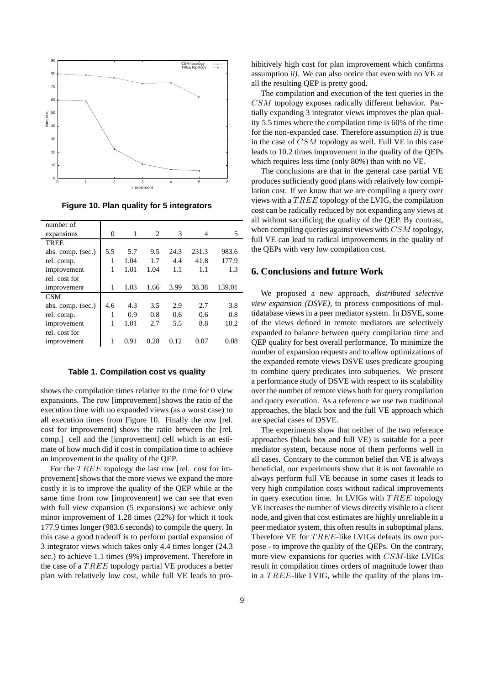

**Figure 10. Plan quality for 5 integrators**

| number of         |     |      |                               |      |       |        |
|-------------------|-----|------|-------------------------------|------|-------|--------|
| expansions        | 0   | 1    | $\mathfrak{D}_{\mathfrak{p}}$ | 3    | 4     | 5      |
| <b>TREE</b>       |     |      |                               |      |       |        |
| abs. comp. (sec.) | 5.5 | 5.7  | 9.5                           | 24.3 | 231.3 | 983.6  |
| rel. comp.        | 1   | 1.04 | 1.7                           | 4.4  | 41.8  | 177.9  |
| improvement       | 1   | 1.01 | 1.04                          | 1.1  | 1.1   | 1.3    |
| rel. cost for     |     |      |                               |      |       |        |
| improvement       |     | 1.03 | 1.66                          | 3.99 | 38.38 | 139.01 |
| <b>CSM</b>        |     |      |                               |      |       |        |
| abs. comp. (sec.) | 4.6 | 4.3  | 3.5                           | 2.9  | 2.7   | 3.8    |
| rel. comp.        | 1   | 0.9  | 0.8                           | 0.6  | 0.6   | 0.8    |
| improvement       | 1   | 1.01 | 2.7                           | 5.5  | 8.8   | 10.2   |
| rel. cost for     |     |      |                               |      |       |        |
| improvement       | 1   | 0.91 | 0.28                          | 0.12 | 0.07  | 0.08   |

## **Table 1. Compilation cost vs quality**

shows the compilation times relative to the time for 0 view expansions. The row [improvement] shows the ratio of the execution time with no expanded views (as a worst case) to all execution times from Figure 10. Finally the row [rel. cost for improvement] shows the ratio between the [rel. comp.] cell and the [improvement] cell which is an estimate of how much did it cost in compilation time to achieve an improvement in the quality of the QEP.

For the TREE topology the last row [rel. cost for improvement] shows that the more views we expand the more costly it is to improve the quality of the QEP while at the same time from row [improvement] we can see that even with full view expansion (5 expansions) we achieve only minor improvement of 1.28 times (22%) for which it took 177.9 times longer (983.6 seconds) to compile the query. In this case a good tradeoff is to perform partial expansion of 3 integrator views which takes only 4.4 times longer (24.3 sec.) to achieve 1.1 times (9%) improvement. Therefore in the case of a TREE topology partial VE produces a better plan with relatively low cost, while full VE leads to prohibitively high cost for plan improvement which confirms assumption *ii)*. We can also notice that even with no VE at all the resulting QEP is pretty good.

The compilation and execution of the test queries in the  $CSM$  topology exposes radically different behavior. Partially expanding 3 integrator views improves the plan quality 5.5 times where the compilation time is 60% of the time for the non-expanded case. Therefore assumption *ii)* is true in the case of CSM topology as well. Full VE in this case leads to 10.2 times improvement in the quality of the QEPs which requires less time (only 80%) than with no VE.

The conclusions are that in the general case partial VE produces sufficiently good plans with relatively low compilation cost. If we know that we are compiling a query over views with a  $TREE$  topology of the LVIG, the compilation cost can be radically reduced by not expanding any views at all without sacrificing the quality of the QEP. By contrast, when compiling queries against views with  $CSM$  topology, full VE can lead to radical improvements in the quality of the QEPs with very low compilation cost.

## **6. Conclusions and future Work**

We proposed a new approach, *distributed selective view expansion (DSVE)*, to process compositions of multidatabase views in a peer mediator system. In DSVE, some of the views defined in remote mediators are selectively expanded to balance between query compilation time and QEP quality for best overall performance. To minimize the number of expansion requests and to allow optimizations of the expanded remote views DSVE uses predicate grouping to combine query predicates into subqueries. We present a performance study of DSVE with respect to its scalability over the number of remote views both for query compilation and query execution. As a reference we use two traditional approaches, the black box and the full VE approach which are special cases of DSVE.

The experiments show that neither of the two reference approaches (black box and full VE) is suitable for a peer mediator system, because none of them performs well in all cases. Contrary to the common belief that VE is always beneficial, our experiments show that it is not favorable to always perform full VE because in some cases it leads to very high compilation costs without radical improvements in query execution time. In LVIGs with  $TREE$  topology VE increases the number of views directly visible to a client node, and given that cost estimates are highly unreliable in a peer mediator system, this often results in suboptimal plans. Therefore VE for TREE-like LVIGs defeats its own purpose - to improve the quality of the QEPs. On the contrary, more view expansions for queries with CSM-like LVIGs result in compilation times orders of magnitude lower than in a  $TREE$ -like LVIG, while the quality of the plans im